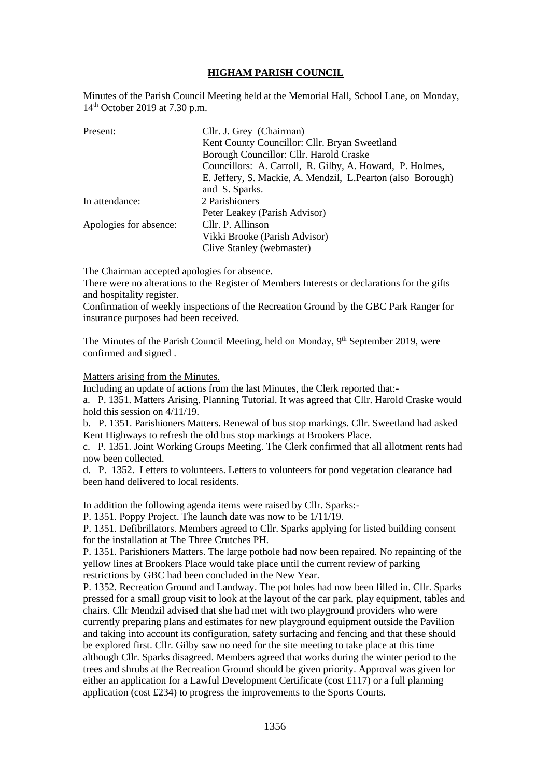## **HIGHAM PARISH COUNCIL**

Minutes of the Parish Council Meeting held at the Memorial Hall, School Lane, on Monday, 14th October 2019 at 7.30 p.m.

| Present:               | Cllr. J. Grey (Chairman)                                     |
|------------------------|--------------------------------------------------------------|
|                        | Kent County Councillor: Cllr. Bryan Sweetland                |
|                        | Borough Councillor: Cllr. Harold Craske                      |
|                        | Councillors: A. Carroll, R. Gilby, A. Howard, P. Holmes,     |
|                        | E. Jeffery, S. Mackie, A. Mendzil, L. Pearton (also Borough) |
|                        | and S. Sparks.                                               |
| In attendance:         | 2 Parishioners                                               |
|                        | Peter Leakey (Parish Advisor)                                |
| Apologies for absence: | Cllr. P. Allinson                                            |
|                        | Vikki Brooke (Parish Advisor)                                |
|                        | Clive Stanley (webmaster)                                    |

The Chairman accepted apologies for absence.

There were no alterations to the Register of Members Interests or declarations for the gifts and hospitality register.

Confirmation of weekly inspections of the Recreation Ground by the GBC Park Ranger for insurance purposes had been received.

The Minutes of the Parish Council Meeting, held on Monday, 9<sup>th</sup> September 2019, were confirmed and signed .

Matters arising from the Minutes.

Including an update of actions from the last Minutes, the Clerk reported that:-

a. P. 1351. Matters Arising. Planning Tutorial. It was agreed that Cllr. Harold Craske would hold this session on 4/11/19.

b. P. 1351. Parishioners Matters. Renewal of bus stop markings. Cllr. Sweetland had asked Kent Highways to refresh the old bus stop markings at Brookers Place.

c. P. 1351. Joint Working Groups Meeting. The Clerk confirmed that all allotment rents had now been collected.

d. P. 1352. Letters to volunteers. Letters to volunteers for pond vegetation clearance had been hand delivered to local residents.

In addition the following agenda items were raised by Cllr. Sparks:-

P. 1351. Poppy Project. The launch date was now to be 1/11/19.

P. 1351. Defibrillators. Members agreed to Cllr. Sparks applying for listed building consent for the installation at The Three Crutches PH.

P. 1351. Parishioners Matters. The large pothole had now been repaired. No repainting of the yellow lines at Brookers Place would take place until the current review of parking restrictions by GBC had been concluded in the New Year.

P. 1352. Recreation Ground and Landway. The pot holes had now been filled in. Cllr. Sparks pressed for a small group visit to look at the layout of the car park, play equipment, tables and chairs. Cllr Mendzil advised that she had met with two playground providers who were currently preparing plans and estimates for new playground equipment outside the Pavilion and taking into account its configuration, safety surfacing and fencing and that these should be explored first. Cllr. Gilby saw no need for the site meeting to take place at this time although Cllr. Sparks disagreed. Members agreed that works during the winter period to the trees and shrubs at the Recreation Ground should be given priority. Approval was given for either an application for a Lawful Development Certificate (cost £117) or a full planning application (cost £234) to progress the improvements to the Sports Courts.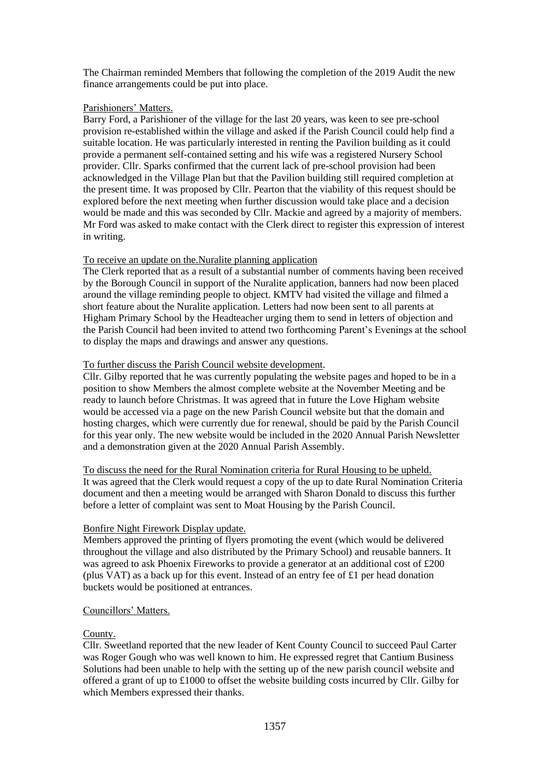The Chairman reminded Members that following the completion of the 2019 Audit the new finance arrangements could be put into place.

### Parishioners' Matters.

Barry Ford, a Parishioner of the village for the last 20 years, was keen to see pre-school provision re-established within the village and asked if the Parish Council could help find a suitable location. He was particularly interested in renting the Pavilion building as it could provide a permanent self-contained setting and his wife was a registered Nursery School provider. Cllr. Sparks confirmed that the current lack of pre-school provision had been acknowledged in the Village Plan but that the Pavilion building still required completion at the present time. It was proposed by Cllr. Pearton that the viability of this request should be explored before the next meeting when further discussion would take place and a decision would be made and this was seconded by Cllr. Mackie and agreed by a majority of members. Mr Ford was asked to make contact with the Clerk direct to register this expression of interest in writing.

## To receive an update on the.Nuralite planning application

The Clerk reported that as a result of a substantial number of comments having been received by the Borough Council in support of the Nuralite application, banners had now been placed around the village reminding people to object. KMTV had visited the village and filmed a short feature about the Nuralite application. Letters had now been sent to all parents at Higham Primary School by the Headteacher urging them to send in letters of objection and the Parish Council had been invited to attend two forthcoming Parent's Evenings at the school to display the maps and drawings and answer any questions.

### To further discuss the Parish Council website development.

Cllr. Gilby reported that he was currently populating the website pages and hoped to be in a position to show Members the almost complete website at the November Meeting and be ready to launch before Christmas. It was agreed that in future the Love Higham website would be accessed via a page on the new Parish Council website but that the domain and hosting charges, which were currently due for renewal, should be paid by the Parish Council for this year only. The new website would be included in the 2020 Annual Parish Newsletter and a demonstration given at the 2020 Annual Parish Assembly.

To discuss the need for the Rural Nomination criteria for Rural Housing to be upheld. It was agreed that the Clerk would request a copy of the up to date Rural Nomination Criteria document and then a meeting would be arranged with Sharon Donald to discuss this further before a letter of complaint was sent to Moat Housing by the Parish Council.

### Bonfire Night Firework Display update.

Members approved the printing of flyers promoting the event (which would be delivered throughout the village and also distributed by the Primary School) and reusable banners. It was agreed to ask Phoenix Fireworks to provide a generator at an additional cost of £200 (plus VAT) as a back up for this event. Instead of an entry fee of £1 per head donation buckets would be positioned at entrances.

### Councillors' Matters.

### County.

Cllr. Sweetland reported that the new leader of Kent County Council to succeed Paul Carter was Roger Gough who was well known to him. He expressed regret that Cantium Business Solutions had been unable to help with the setting up of the new parish council website and offered a grant of up to £1000 to offset the website building costs incurred by Cllr. Gilby for which Members expressed their thanks.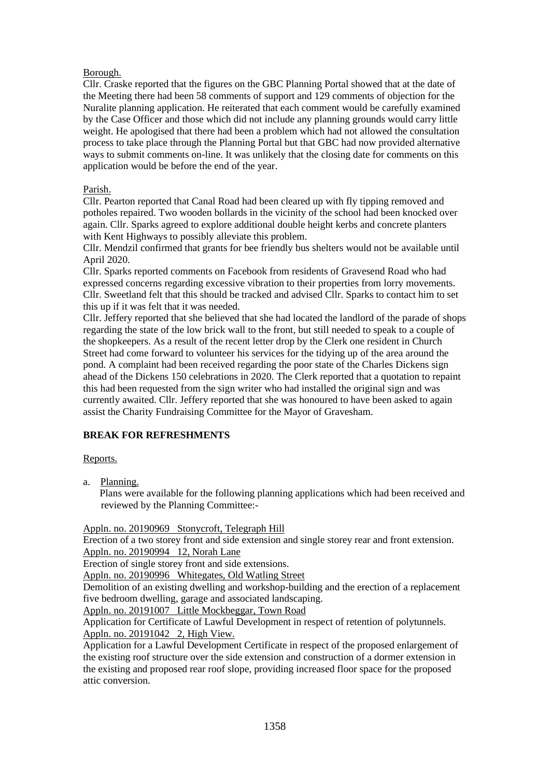# Borough.

Cllr. Craske reported that the figures on the GBC Planning Portal showed that at the date of the Meeting there had been 58 comments of support and 129 comments of objection for the Nuralite planning application. He reiterated that each comment would be carefully examined by the Case Officer and those which did not include any planning grounds would carry little weight. He apologised that there had been a problem which had not allowed the consultation process to take place through the Planning Portal but that GBC had now provided alternative ways to submit comments on-line. It was unlikely that the closing date for comments on this application would be before the end of the year.

## Parish.

Cllr. Pearton reported that Canal Road had been cleared up with fly tipping removed and potholes repaired. Two wooden bollards in the vicinity of the school had been knocked over again. Cllr. Sparks agreed to explore additional double height kerbs and concrete planters with Kent Highways to possibly alleviate this problem.

Cllr. Mendzil confirmed that grants for bee friendly bus shelters would not be available until April 2020.

Cllr. Sparks reported comments on Facebook from residents of Gravesend Road who had expressed concerns regarding excessive vibration to their properties from lorry movements. Cllr. Sweetland felt that this should be tracked and advised Cllr. Sparks to contact him to set this up if it was felt that it was needed.

Cllr. Jeffery reported that she believed that she had located the landlord of the parade of shops regarding the state of the low brick wall to the front, but still needed to speak to a couple of the shopkeepers. As a result of the recent letter drop by the Clerk one resident in Church Street had come forward to volunteer his services for the tidying up of the area around the pond. A complaint had been received regarding the poor state of the Charles Dickens sign ahead of the Dickens 150 celebrations in 2020. The Clerk reported that a quotation to repaint this had been requested from the sign writer who had installed the original sign and was currently awaited. Cllr. Jeffery reported that she was honoured to have been asked to again assist the Charity Fundraising Committee for the Mayor of Gravesham.

# **BREAK FOR REFRESHMENTS**

### Reports.

a. Planning.

 Plans were available for the following planning applications which had been received and reviewed by the Planning Committee:-

Appln. no. 20190969 Stonycroft, Telegraph Hill

Erection of a two storey front and side extension and single storey rear and front extension. Appln. no. 20190994 12, Norah Lane

Erection of single storey front and side extensions.

Appln. no. 20190996 Whitegates, Old Watling Street

Demolition of an existing dwelling and workshop-building and the erection of a replacement five bedroom dwelling, garage and associated landscaping.

Appln. no. 20191007 Little Mockbeggar, Town Road

Application for Certificate of Lawful Development in respect of retention of polytunnels. Appln. no. 20191042 2, High View.

Application for a Lawful Development Certificate in respect of the proposed enlargement of the existing roof structure over the side extension and construction of a dormer extension in the existing and proposed rear roof slope, providing increased floor space for the proposed attic conversion.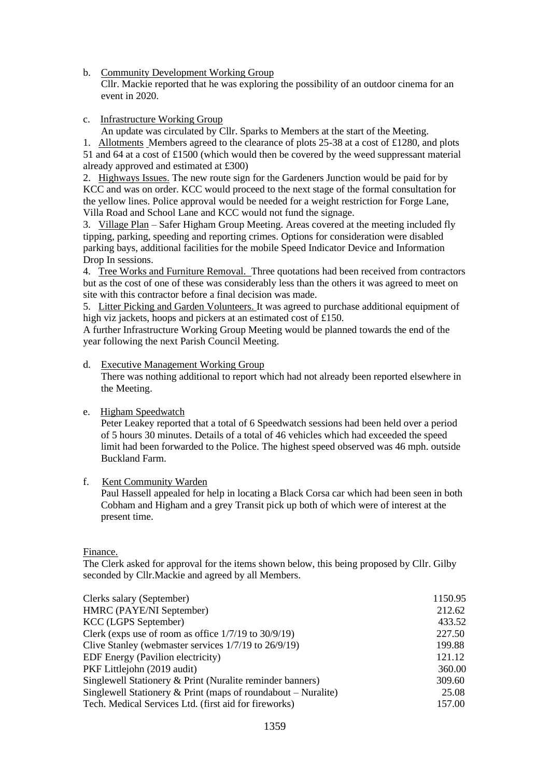b. Community Development Working Group

 Cllr. Mackie reported that he was exploring the possibility of an outdoor cinema for an event in 2020.

c. Infrastructure Working Group

An update was circulated by Cllr. Sparks to Members at the start of the Meeting.

1. Allotments Members agreed to the clearance of plots 25-38 at a cost of £1280, and plots 51 and 64 at a cost of £1500 (which would then be covered by the weed suppressant material already approved and estimated at £300)

2. Highways Issues. The new route sign for the Gardeners Junction would be paid for by KCC and was on order. KCC would proceed to the next stage of the formal consultation for the yellow lines. Police approval would be needed for a weight restriction for Forge Lane, Villa Road and School Lane and KCC would not fund the signage.

3. Village Plan – Safer Higham Group Meeting. Areas covered at the meeting included fly tipping, parking, speeding and reporting crimes. Options for consideration were disabled parking bays, additional facilities for the mobile Speed Indicator Device and Information Drop In sessions.

4. Tree Works and Furniture Removal. Three quotations had been received from contractors but as the cost of one of these was considerably less than the others it was agreed to meet on site with this contractor before a final decision was made.

5. Litter Picking and Garden Volunteers. It was agreed to purchase additional equipment of high viz jackets, hoops and pickers at an estimated cost of £150.

A further Infrastructure Working Group Meeting would be planned towards the end of the year following the next Parish Council Meeting.

### d. Executive Management Working Group

 There was nothing additional to report which had not already been reported elsewhere in the Meeting.

### e. Higham Speedwatch

 Peter Leakey reported that a total of 6 Speedwatch sessions had been held over a period of 5 hours 30 minutes. Details of a total of 46 vehicles which had exceeded the speed limit had been forwarded to the Police. The highest speed observed was 46 mph. outside Buckland Farm.

### f. Kent Community Warden

 Paul Hassell appealed for help in locating a Black Corsa car which had been seen in both Cobham and Higham and a grey Transit pick up both of which were of interest at the present time.

### Finance.

The Clerk asked for approval for the items shown below, this being proposed by Cllr. Gilby seconded by Cllr.Mackie and agreed by all Members.

| Clerks salary (September)                                     | 1150.95 |
|---------------------------------------------------------------|---------|
| HMRC (PAYE/NI September)                                      | 212.62  |
| KCC (LGPS September)                                          | 433.52  |
| Clerk (exps use of room as office $1/7/19$ to $30/9/19$ )     | 227.50  |
| Clive Stanley (webmaster services 1/7/19 to 26/9/19)          | 199.88  |
| EDF Energy (Pavilion electricity)                             | 121.12  |
| PKF Littlejohn (2019 audit)                                   | 360.00  |
| Singlewell Stationery & Print (Nuralite reminder banners)     | 309.60  |
| Singlewell Stationery & Print (maps of roundabout – Nuralite) | 25.08   |
| Tech. Medical Services Ltd. (first aid for fireworks)         | 157.00  |